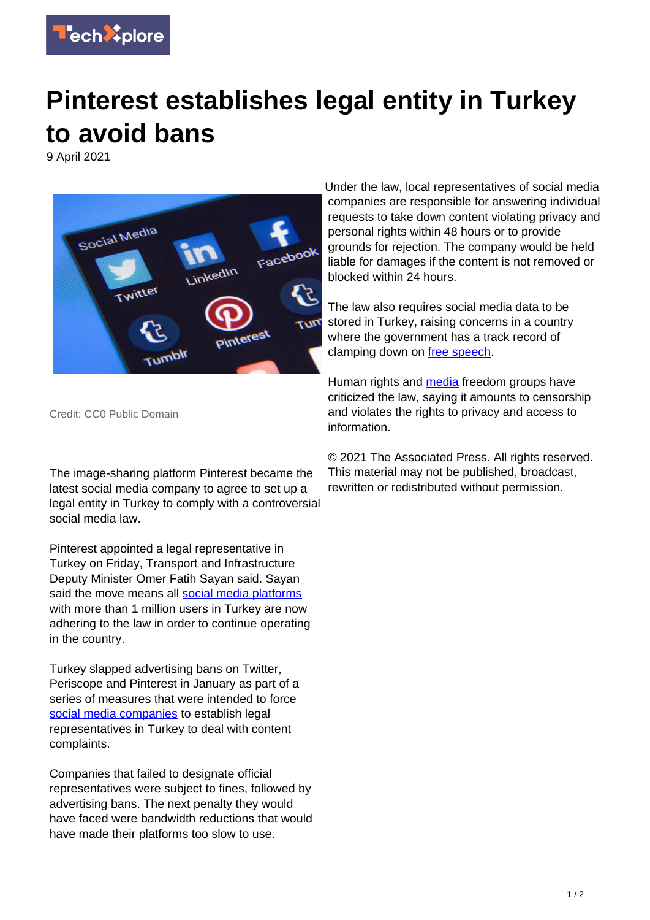

## **Pinterest establishes legal entity in Turkey to avoid bans**

9 April 2021



Under the law, local representatives of social media companies are responsible for answering individual requests to take down content violating privacy and personal rights within 48 hours or to provide grounds for rejection. The company would be held liable for damages if the content is not removed or blocked within 24 hours.

The law also requires social media data to be stored in Turkey, raising concerns in a country where the government has a track record of clamping down on [free speech.](https://techxplore.com/tags/free+speech/)

Human rights and **media** freedom groups have criticized the law, saying it amounts to censorship and violates the rights to privacy and access to information.

Credit: CC0 Public Domain

The image-sharing platform Pinterest became the latest social media company to agree to set up a legal entity in Turkey to comply with a controversial social media law.

Pinterest appointed a legal representative in Turkey on Friday, Transport and Infrastructure Deputy Minister Omer Fatih Sayan said. Sayan said the move means all [social media platforms](https://techxplore.com/tags/social+media+platforms/) with more than 1 million users in Turkey are now adhering to the law in order to continue operating in the country.

Turkey slapped advertising bans on Twitter, Periscope and Pinterest in January as part of a series of measures that were intended to force [social media companies](https://techxplore.com/tags/social+media+companies/) to establish legal representatives in Turkey to deal with content complaints.

Companies that failed to designate official representatives were subject to fines, followed by advertising bans. The next penalty they would have faced were bandwidth reductions that would have made their platforms too slow to use.

© 2021 The Associated Press. All rights reserved. This material may not be published, broadcast, rewritten or redistributed without permission.